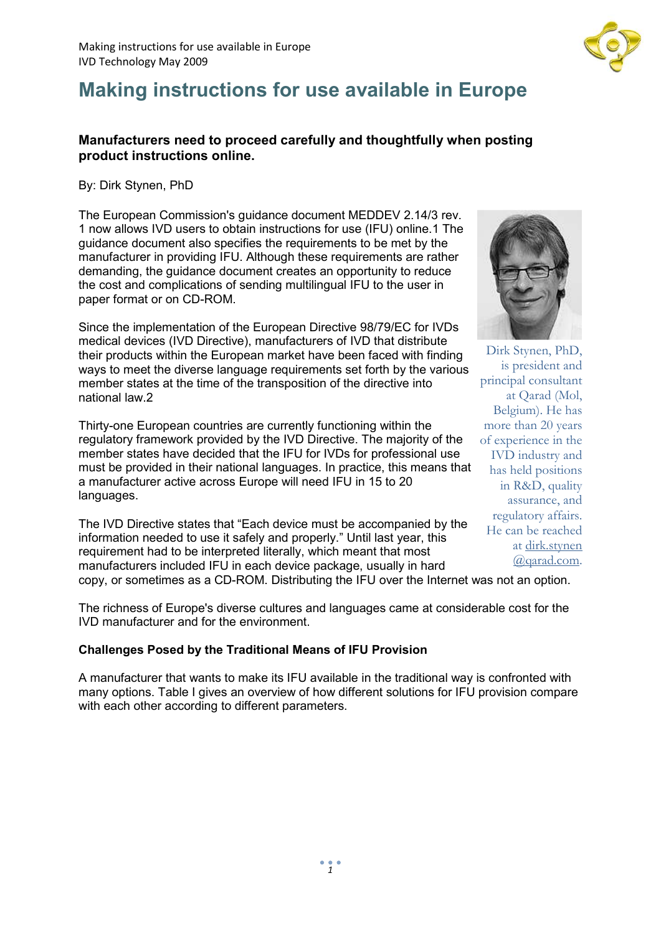

# **Making instructions for use available in Europe**

## **Manufacturers need to proceed carefully and thoughtfully when posting product instructions online.**

By: Dirk Stynen, PhD

The European Commission's guidance document MEDDEV 2.14/3 rev. 1 now allows IVD users to obtain instructions for use (IFU) online.1 The guidance document also specifies the requirements to be met by the manufacturer in providing IFU. Although these requirements are rather demanding, the guidance document creates an opportunity to reduce the cost and complications of sending multilingual IFU to the user in paper format or on CD-ROM.

Since the implementation of the European Directive 98/79/EC for IVDs medical devices (IVD Directive), manufacturers of IVD that distribute their products within the European market have been faced with finding ways to meet the diverse language requirements set forth by the various member states at the time of the transposition of the directive into national law.2

Thirty-one European countries are currently functioning within the regulatory framework provided by the IVD Directive. The majority of the member states have decided that the IFU for IVDs for professional use must be provided in their national languages. In practice, this means that a manufacturer active across Europe will need IFU in 15 to 20 languages.

The IVD Directive states that "Each device must be accompanied by the information needed to use it safely and properly." Until last year, this requirement had to be interpreted literally, which meant that most manufacturers included IFU in each device package, usually in hard copy, or sometimes as a CD-ROM. Distributing the IFU over the Internet was not an option.

The richness of Europe's diverse cultures and languages came at considerable cost for the IVD manufacturer and for the environment.

## **Challenges Posed by the Traditional Means of IFU Provision**

A manufacturer that wants to make its IFU available in the traditional way is confronted with many options. Table I gives an overview of how different solutions for IFU provision compare with each other according to different parameters.



Dirk Stynen, PhD, is president and principal consultant at Qarad (Mol, Belgium). He has more than 20 years of experience in the IVD industry and has held positions in R&D, quality assurance, and regulatory affairs. He can be reached at dirk.stynen @qarad.com.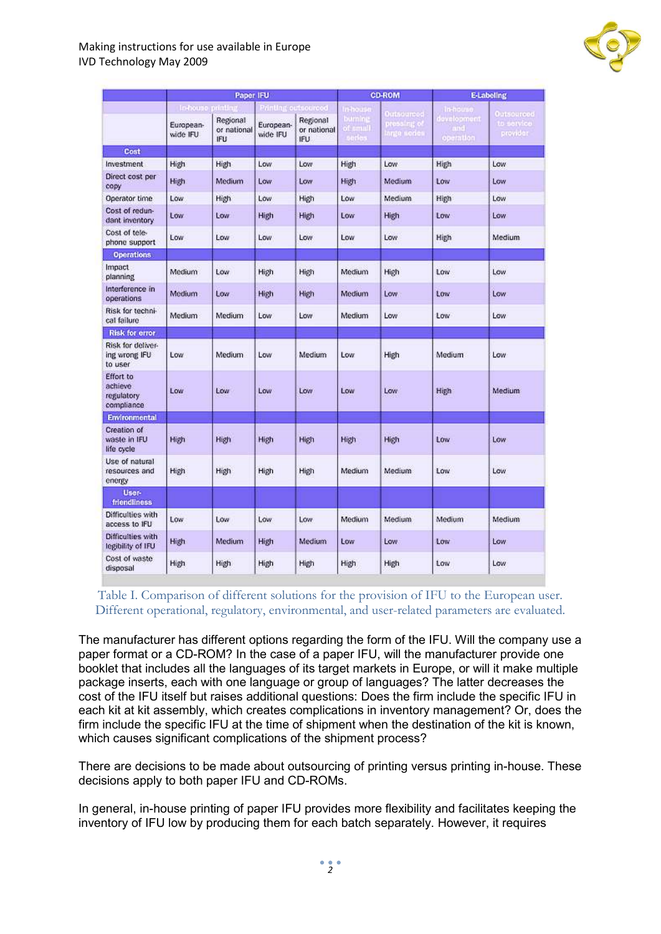

|                                                  | Paper IFU             |                                       |                            |                                | <b>CD-ROM</b>                  |                                                 | <b>E-Labeling</b>               |                                      |
|--------------------------------------------------|-----------------------|---------------------------------------|----------------------------|--------------------------------|--------------------------------|-------------------------------------------------|---------------------------------|--------------------------------------|
|                                                  | In-house printing     |                                       | <b>Printlng outsourced</b> |                                | n-house                        |                                                 | In-house                        |                                      |
|                                                  | European-<br>wide IFU | Regional<br>or national<br><b>IFU</b> | European-<br>wide IFU      | Regional<br>or national<br>IFU | burning.<br>Ilama to<br>series | <b>Qutsourced</b><br>pressing of<br>lanto sodes | dovelopment<br>and<br>operation | Outsourced<br>to service<br>provider |
| Cost                                             |                       |                                       |                            |                                |                                |                                                 |                                 |                                      |
| Investment                                       | High                  | High                                  | Low                        | Low                            | High                           | Low                                             | High                            | Low                                  |
| Direct cost per<br>copy                          | High                  | <b>Medium</b>                         | Low                        | Low                            | High                           | Medium                                          | Low                             | Low                                  |
| Operator time                                    | Low                   | High                                  | Low                        | High                           | Low                            | Medium                                          | High                            | Low                                  |
| Cost of redun-<br>dant inventory                 | Low                   | Low                                   | High                       | High                           | Low                            | High                                            | Low                             | Low                                  |
| Cost of tele-<br>phone support                   | Low                   | Low                                   | Low                        | Low                            | Low                            | Low                                             | High                            | Medium                               |
| <b>Operations</b>                                |                       |                                       |                            |                                |                                |                                                 |                                 |                                      |
| Impact<br>planning                               | Medium                | Low                                   | <b>High</b>                | High                           | Medium                         | High                                            | Low                             | Low                                  |
| Interference in<br>operations                    | Medium                | Low                                   | High                       | High                           | Medium                         | Low                                             | Low                             | Low                                  |
| Risk for techni-<br>cal failure                  | Medium                | Medium                                | Low                        | Low                            | Medium                         | Low                                             | Low                             | Low                                  |
| Risk for error.                                  |                       |                                       |                            |                                |                                |                                                 |                                 |                                      |
| Risk for deliver-<br>ing wrong IFU<br>to user    | Low                   | Medium                                | Low                        | Medium                         | Low                            | High                                            | Medium                          | Low                                  |
| Effort to<br>achieve<br>regulatory<br>compliance | Low                   | Low                                   | Low                        | Low                            | Low                            | Low                                             | High                            | Medium                               |
| <b>Environmental</b>                             |                       |                                       |                            |                                |                                |                                                 |                                 |                                      |
| Creation of<br>waste in IFU<br>life cycle        | High                  | High                                  | High                       | High                           | High                           | High                                            | Low                             | Low                                  |
| Use of natural<br>resources and<br>energy        | High                  | High                                  | High                       | High                           | Medium                         | Medium                                          | Low                             | Low                                  |
| User-<br>friendliness                            |                       |                                       |                            |                                |                                |                                                 |                                 |                                      |
| Difficulties with<br>access to IFU               | Low                   | Low                                   | Low                        | Low                            | Medium                         | Medium                                          | Medium                          | Medium                               |
| Difficulties with<br>legibility of IFU           | High                  | Medium                                | High                       | Medium                         | Low                            | Low                                             | Low                             | Low                                  |
| Cost of waste<br>disposal                        | High                  | High                                  | High                       | High                           | High                           | High                                            | Low                             | Low                                  |

Table I. Comparison of different solutions for the provision of IFU to the European user. Different operational, regulatory, environmental, and user-related parameters are evaluated.

The manufacturer has different options regarding the form of the IFU. Will the company use a paper format or a CD-ROM? In the case of a paper IFU, will the manufacturer provide one booklet that includes all the languages of its target markets in Europe, or will it make multiple package inserts, each with one language or group of languages? The latter decreases the cost of the IFU itself but raises additional questions: Does the firm include the specific IFU in each kit at kit assembly, which creates complications in inventory management? Or, does the firm include the specific IFU at the time of shipment when the destination of the kit is known, which causes significant complications of the shipment process?

There are decisions to be made about outsourcing of printing versus printing in-house. These decisions apply to both paper IFU and CD-ROMs.

In general, in-house printing of paper IFU provides more flexibility and facilitates keeping the inventory of IFU low by producing them for each batch separately. However, it requires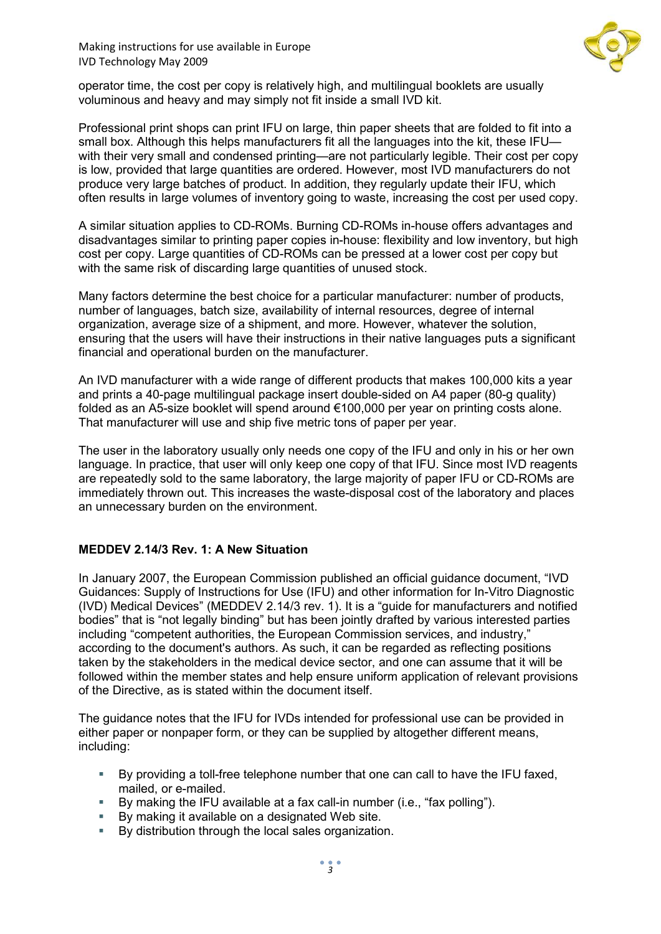

operator time, the cost per copy is relatively high, and multilingual booklets are usually voluminous and heavy and may simply not fit inside a small IVD kit.

Professional print shops can print IFU on large, thin paper sheets that are folded to fit into a small box. Although this helps manufacturers fit all the languages into the kit, these IFU with their very small and condensed printing—are not particularly legible. Their cost per copy is low, provided that large quantities are ordered. However, most IVD manufacturers do not produce very large batches of product. In addition, they regularly update their IFU, which often results in large volumes of inventory going to waste, increasing the cost per used copy.

A similar situation applies to CD-ROMs. Burning CD-ROMs in-house offers advantages and disadvantages similar to printing paper copies in-house: flexibility and low inventory, but high cost per copy. Large quantities of CD-ROMs can be pressed at a lower cost per copy but with the same risk of discarding large quantities of unused stock.

Many factors determine the best choice for a particular manufacturer: number of products, number of languages, batch size, availability of internal resources, degree of internal organization, average size of a shipment, and more. However, whatever the solution, ensuring that the users will have their instructions in their native languages puts a significant financial and operational burden on the manufacturer.

An IVD manufacturer with a wide range of different products that makes 100,000 kits a year and prints a 40-page multilingual package insert double-sided on A4 paper (80-g quality) folded as an A5-size booklet will spend around €100,000 per year on printing costs alone. That manufacturer will use and ship five metric tons of paper per year.

The user in the laboratory usually only needs one copy of the IFU and only in his or her own language. In practice, that user will only keep one copy of that IFU. Since most IVD reagents are repeatedly sold to the same laboratory, the large majority of paper IFU or CD-ROMs are immediately thrown out. This increases the waste-disposal cost of the laboratory and places an unnecessary burden on the environment.

### **MEDDEV 2.14/3 Rev. 1: A New Situation**

In January 2007, the European Commission published an official guidance document, "IVD Guidances: Supply of Instructions for Use (IFU) and other information for In-Vitro Diagnostic (IVD) Medical Devices" (MEDDEV 2.14/3 rev. 1). It is a "guide for manufacturers and notified bodies" that is "not legally binding" but has been jointly drafted by various interested parties including "competent authorities, the European Commission services, and industry," according to the document's authors. As such, it can be regarded as reflecting positions taken by the stakeholders in the medical device sector, and one can assume that it will be followed within the member states and help ensure uniform application of relevant provisions of the Directive, as is stated within the document itself.

The guidance notes that the IFU for IVDs intended for professional use can be provided in either paper or nonpaper form, or they can be supplied by altogether different means, including:

- By providing a toll-free telephone number that one can call to have the IFU faxed, mailed, or e-mailed.
- By making the IFU available at a fax call-in number (i.e., "fax polling").
- By making it available on a designated Web site.
- By distribution through the local sales organization.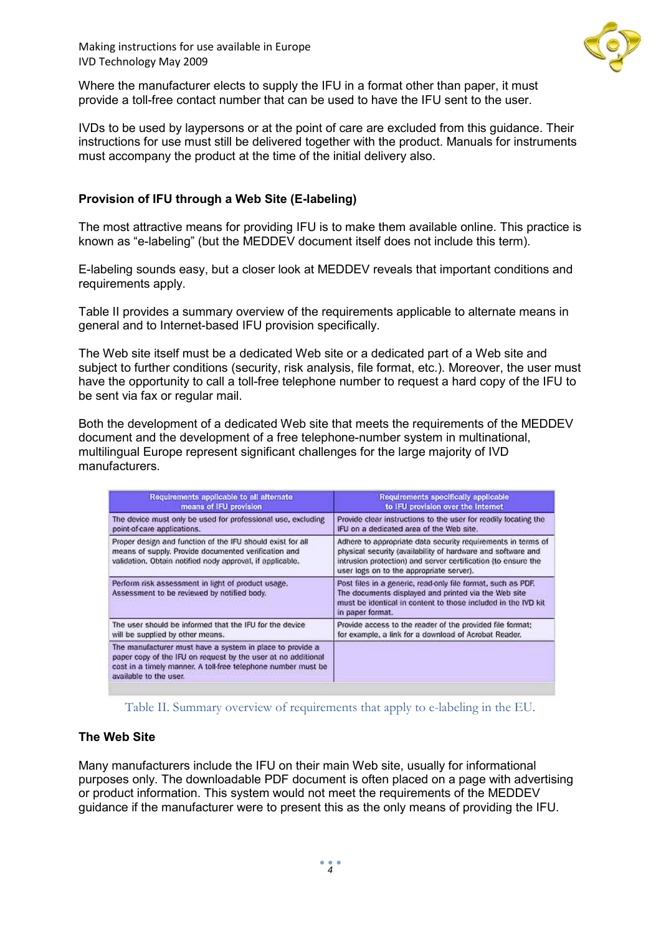

Where the manufacturer elects to supply the IFU in a format other than paper, it must provide a toll-free contact number that can be used to have the IFU sent to the user.

IVDs to be used by laypersons or at the point of care are excluded from this guidance. Their instructions for use must still be delivered together with the product. Manuals for instruments must accompany the product at the time of the initial delivery also.

## **Provision of IFU through a Web Site (E-labeling)**

The most attractive means for providing IFU is to make them available online. This practice is known as "e-labeling" (but the MEDDEV document itself does not include this term).

E-labeling sounds easy, but a closer look at MEDDEV reveals that important conditions and requirements apply.

Table II provides a summary overview of the requirements applicable to alternate means in general and to Internet-based IFU provision specifically.

The Web site itself must be a dedicated Web site or a dedicated part of a Web site and subject to further conditions (security, risk analysis, file format, etc.). Moreover, the user must have the opportunity to call a toll-free telephone number to request a hard copy of the IFU to be sent via fax or regular mail.

Both the development of a dedicated Web site that meets the requirements of the MEDDEV document and the development of a free telephone-number system in multinational, multilingual Europe represent significant challenges for the large majority of IVD manufacturers.

| Requirements applicable to all alternate                                                                                                                                                                              | Requirements specifically applicable                                                                                                                                                                                                      |
|-----------------------------------------------------------------------------------------------------------------------------------------------------------------------------------------------------------------------|-------------------------------------------------------------------------------------------------------------------------------------------------------------------------------------------------------------------------------------------|
| means of IFU provision                                                                                                                                                                                                | to IFU provision over the Internet                                                                                                                                                                                                        |
| The device must only be used for professional use, excluding                                                                                                                                                          | Provide clear instructions to the user for readily locating the                                                                                                                                                                           |
| point-of-care applications.                                                                                                                                                                                           | IFU on a dedicated area of the Web site.                                                                                                                                                                                                  |
| Proper design and function of the IFU should exist for all<br>means of supply. Provide documented verification and<br>validation. Obtain notified nody approval, if applicable.                                       | Adhere to appropriate data security requirements in terms of<br>physical security (availability of hardware and software and<br>intrusion protection) and server certification (to ensure the<br>user logs on to the appropriate server). |
| Perform risk assessment in light of product usage.<br>Assessment to be reviewed by notified body.                                                                                                                     | Post files in a generic, read-only file format, such as PDF.<br>The documents displayed and printed via the Web site<br>must be identical in content to those included in the IVD kit.<br>in paper format.                                |
| The user should be informed that the IFU for the device                                                                                                                                                               | Provide access to the reader of the provided file format;                                                                                                                                                                                 |
| will be supplied by other means.                                                                                                                                                                                      | for example, a link for a download of Acrobat Reader.                                                                                                                                                                                     |
| The manufacturer must have a system in place to provide a<br>paper copy of the IFU on request by the user at no additional<br>cost in a timely manner. A toll-free telephone number must be<br>available to the user. |                                                                                                                                                                                                                                           |

Table II. Summary overview of requirements that apply to e-labeling in the EU.

### **The Web Site**

Many manufacturers include the IFU on their main Web site, usually for informational purposes only. The downloadable PDF document is often placed on a page with advertising or product information. This system would not meet the requirements of the MEDDEV guidance if the manufacturer were to present this as the only means of providing the IFU.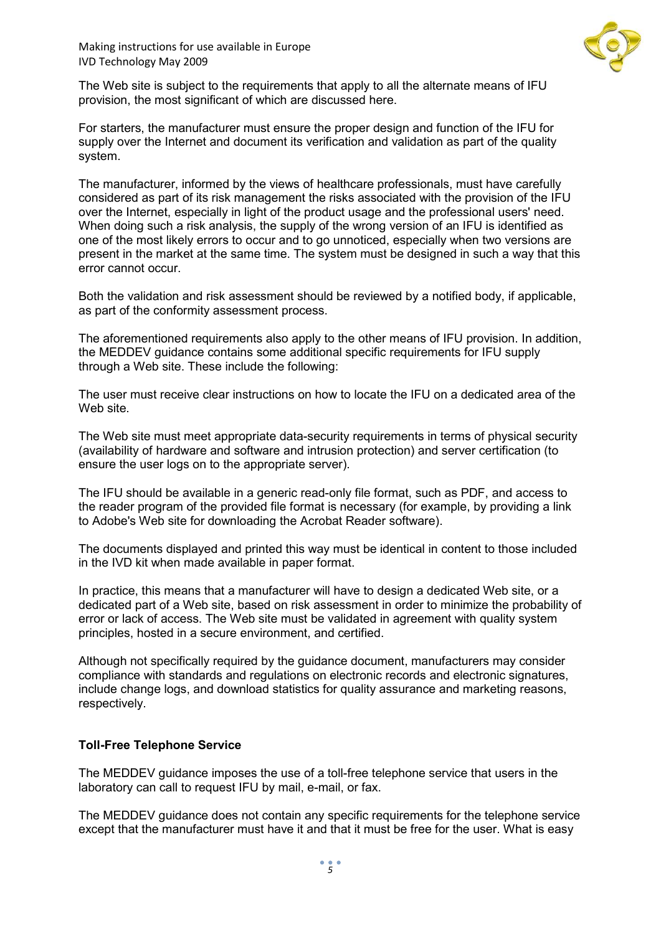

The Web site is subject to the requirements that apply to all the alternate means of IFU provision, the most significant of which are discussed here.

For starters, the manufacturer must ensure the proper design and function of the IFU for supply over the Internet and document its verification and validation as part of the quality system.

The manufacturer, informed by the views of healthcare professionals, must have carefully considered as part of its risk management the risks associated with the provision of the IFU over the Internet, especially in light of the product usage and the professional users' need. When doing such a risk analysis, the supply of the wrong version of an IFU is identified as one of the most likely errors to occur and to go unnoticed, especially when two versions are present in the market at the same time. The system must be designed in such a way that this error cannot occur.

Both the validation and risk assessment should be reviewed by a notified body, if applicable, as part of the conformity assessment process.

The aforementioned requirements also apply to the other means of IFU provision. In addition, the MEDDEV guidance contains some additional specific requirements for IFU supply through a Web site. These include the following:

The user must receive clear instructions on how to locate the IFU on a dedicated area of the Web site.

The Web site must meet appropriate data-security requirements in terms of physical security (availability of hardware and software and intrusion protection) and server certification (to ensure the user logs on to the appropriate server).

The IFU should be available in a generic read-only file format, such as PDF, and access to the reader program of the provided file format is necessary (for example, by providing a link to Adobe's Web site for downloading the Acrobat Reader software).

The documents displayed and printed this way must be identical in content to those included in the IVD kit when made available in paper format.

In practice, this means that a manufacturer will have to design a dedicated Web site, or a dedicated part of a Web site, based on risk assessment in order to minimize the probability of error or lack of access. The Web site must be validated in agreement with quality system principles, hosted in a secure environment, and certified.

Although not specifically required by the guidance document, manufacturers may consider compliance with standards and regulations on electronic records and electronic signatures, include change logs, and download statistics for quality assurance and marketing reasons, respectively.

#### **Toll-Free Telephone Service**

The MEDDEV guidance imposes the use of a toll-free telephone service that users in the laboratory can call to request IFU by mail, e-mail, or fax.

The MEDDEV guidance does not contain any specific requirements for the telephone service except that the manufacturer must have it and that it must be free for the user. What is easy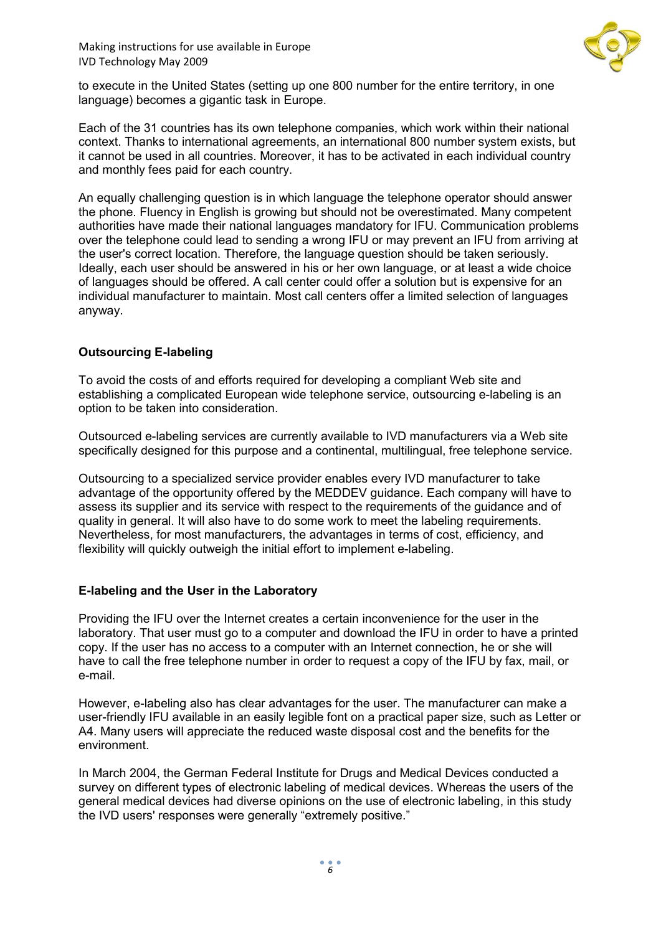

to execute in the United States (setting up one 800 number for the entire territory, in one language) becomes a gigantic task in Europe.

Each of the 31 countries has its own telephone companies, which work within their national context. Thanks to international agreements, an international 800 number system exists, but it cannot be used in all countries. Moreover, it has to be activated in each individual country and monthly fees paid for each country.

An equally challenging question is in which language the telephone operator should answer the phone. Fluency in English is growing but should not be overestimated. Many competent authorities have made their national languages mandatory for IFU. Communication problems over the telephone could lead to sending a wrong IFU or may prevent an IFU from arriving at the user's correct location. Therefore, the language question should be taken seriously. Ideally, each user should be answered in his or her own language, or at least a wide choice of languages should be offered. A call center could offer a solution but is expensive for an individual manufacturer to maintain. Most call centers offer a limited selection of languages anyway.

### **Outsourcing E-labeling**

To avoid the costs of and efforts required for developing a compliant Web site and establishing a complicated European wide telephone service, outsourcing e-labeling is an option to be taken into consideration.

Outsourced e-labeling services are currently available to IVD manufacturers via a Web site specifically designed for this purpose and a continental, multilingual, free telephone service.

Outsourcing to a specialized service provider enables every IVD manufacturer to take advantage of the opportunity offered by the MEDDEV guidance. Each company will have to assess its supplier and its service with respect to the requirements of the guidance and of quality in general. It will also have to do some work to meet the labeling requirements. Nevertheless, for most manufacturers, the advantages in terms of cost, efficiency, and flexibility will quickly outweigh the initial effort to implement e-labeling.

### **E-labeling and the User in the Laboratory**

Providing the IFU over the Internet creates a certain inconvenience for the user in the laboratory. That user must go to a computer and download the IFU in order to have a printed copy. If the user has no access to a computer with an Internet connection, he or she will have to call the free telephone number in order to request a copy of the IFU by fax, mail, or e-mail.

However, e-labeling also has clear advantages for the user. The manufacturer can make a user-friendly IFU available in an easily legible font on a practical paper size, such as Letter or A4. Many users will appreciate the reduced waste disposal cost and the benefits for the environment.

In March 2004, the German Federal Institute for Drugs and Medical Devices conducted a survey on different types of electronic labeling of medical devices. Whereas the users of the general medical devices had diverse opinions on the use of electronic labeling, in this study the IVD users' responses were generally "extremely positive."